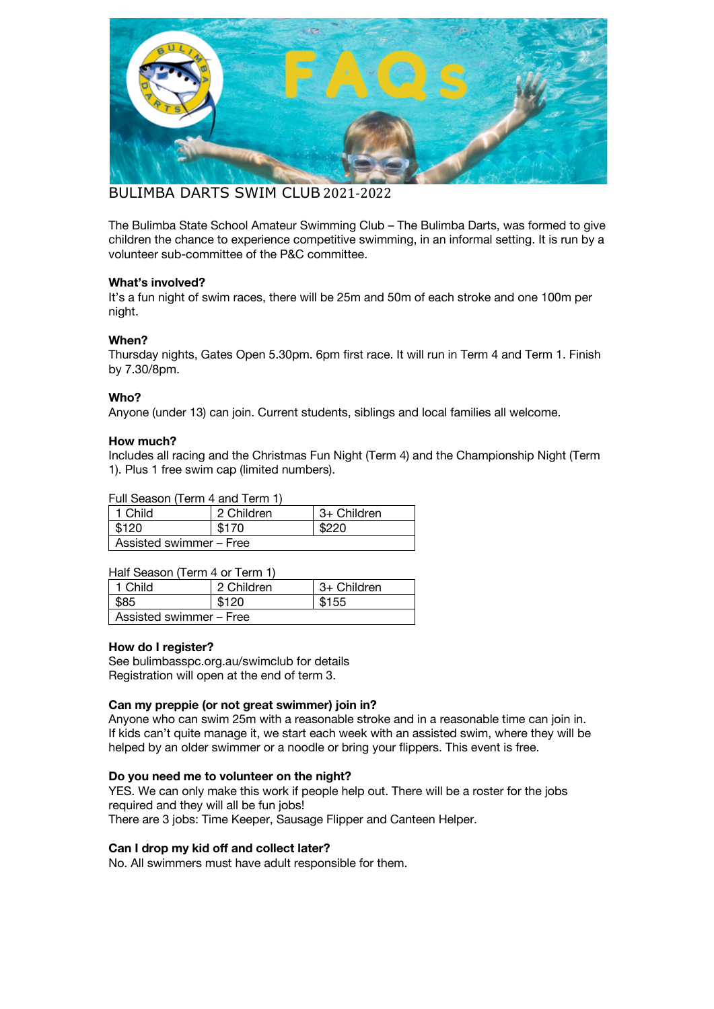

BULIMBA DARTS SWIM CLUB 2021-2022

The Bulimba State School Amateur Swimming Club – The Bulimba Darts, was formed to give children the chance to experience competitive swimming, in an informal setting. It is run by a volunteer sub-committee of the P&C committee.

# **What's involved?**

It's a fun night of swim races, there will be 25m and 50m of each stroke and one 100m per night.

# **When?**

Thursday nights, Gates Open 5.30pm. 6pm first race. It will run in Term 4 and Term 1. Finish by 7.30/8pm.

# **Who?**

Anyone (under 13) can join. Current students, siblings and local families all welcome.

### **How much?**

Includes all racing and the Christmas Fun Night (Term 4) and the Championship Night (Term 1). Plus 1 free swim cap (limited numbers).

Full Season (Term 4 and Term 1)

| 1 Child                 | 2 Children | 3+ Children |
|-------------------------|------------|-------------|
| \$120                   | \$170      | \$220       |
| Assisted swimmer – Free |            |             |

#### Half Season (Term 4 or Term 1)

| 1 Child                 | 2 Children | 3+ Children |  |
|-------------------------|------------|-------------|--|
| \$85                    | \$120      | \$155       |  |
| Assisted swimmer - Free |            |             |  |

### **How do I register?**

See bulimbasspc.org.au/swimclub for details Registration will open at the end of term 3.

### **Can my preppie (or not great swimmer) join in?**

Anyone who can swim 25m with a reasonable stroke and in a reasonable time can join in. If kids can't quite manage it, we start each week with an assisted swim, where they will be helped by an older swimmer or a noodle or bring your flippers. This event is free.

### **Do you need me to volunteer on the night?**

YES. We can only make this work if people help out. There will be a roster for the jobs required and they will all be fun jobs! There are 3 jobs: Time Keeper, Sausage Flipper and Canteen Helper.

### **Can I drop my kid off and collect later?**

No. All swimmers must have adult responsible for them.